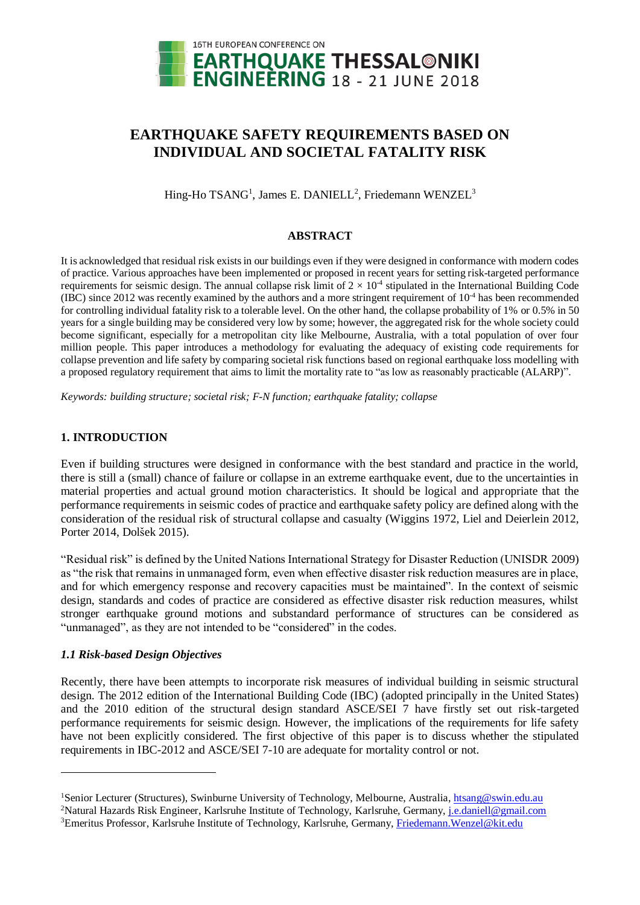

# **EARTHQUAKE SAFETY REQUIREMENTS BASED ON INDIVIDUAL AND SOCIETAL FATALITY RISK**

Hing-Ho TSANG<sup>1</sup>, James E. DANIELL<sup>2</sup>, Friedemann WENZEL<sup>3</sup>

## **ABSTRACT**

It is acknowledged that residual risk exists in our buildings even if they were designed in conformance with modern codes of practice. Various approaches have been implemented or proposed in recent years for setting risk-targeted performance requirements for seismic design. The annual collapse risk limit of  $2 \times 10^4$  stipulated in the International Building Code (IBC) since 2012 was recently examined by the authors and a more stringent requirement of  $10^{-4}$  has been recommended for controlling individual fatality risk to a tolerable level. On the other hand, the collapse probability of 1% or 0.5% in 50 years for a single building may be considered very low by some; however, the aggregated risk for the whole society could become significant, especially for a metropolitan city like Melbourne, Australia, with a total population of over four million people. This paper introduces a methodology for evaluating the adequacy of existing code requirements for collapse prevention and life safety by comparing societal risk functions based on regional earthquake loss modelling with a proposed regulatory requirement that aims to limit the mortality rate to "as low as reasonably practicable (ALARP)".

*Keywords: building structure; societal risk; F-N function; earthquake fatality; collapse*

# **1. INTRODUCTION**

Even if building structures were designed in conformance with the best standard and practice in the world, there is still a (small) chance of failure or collapse in an extreme earthquake event, due to the uncertainties in material properties and actual ground motion characteristics. It should be logical and appropriate that the performance requirements in seismic codes of practice and earthquake safety policy are defined along with the consideration of the residual risk of structural collapse and casualty (Wiggins 1972, Liel and Deierlein 2012, Porter 2014, Dolšek 2015).

"Residual risk" is defined by the United Nations International Strategy for Disaster Reduction (UNISDR 2009) as "the risk that remains in unmanaged form, even when effective disaster risk reduction measures are in place, and for which emergency response and recovery capacities must be maintained". In the context of seismic design, standards and codes of practice are considered as effective disaster risk reduction measures, whilst stronger earthquake ground motions and substandard performance of structures can be considered as "unmanaged", as they are not intended to be "considered" in the codes.

## *1.1 Risk-based Design Objectives*

-

Recently, there have been attempts to incorporate risk measures of individual building in seismic structural design. The 2012 edition of the International Building Code (IBC) (adopted principally in the United States) and the 2010 edition of the structural design standard ASCE/SEI 7 have firstly set out risk-targeted performance requirements for seismic design. However, the implications of the requirements for life safety have not been explicitly considered. The first objective of this paper is to discuss whether the stipulated requirements in IBC-2012 and ASCE/SEI 7-10 are adequate for mortality control or not.

<sup>&</sup>lt;sup>1</sup>Senior Lecturer (Structures), Swinburne University of Technology, Melbourne, Australia, [htsang@swin.edu.au](mailto:htsang@swin.edu.au)

<sup>&</sup>lt;sup>2</sup>Natural Hazards Risk Engineer, Karlsruhe Institute of Technology, Karlsruhe, Germany, *j.e.daniell@gmail.com* <sup>3</sup>Emeritus Professor, Karlsruhe Institute of Technology, Karlsruhe, Germany, [Friedemann.Wenzel@kit.edu](mailto:Friedemann.Wenzel@kit.edu)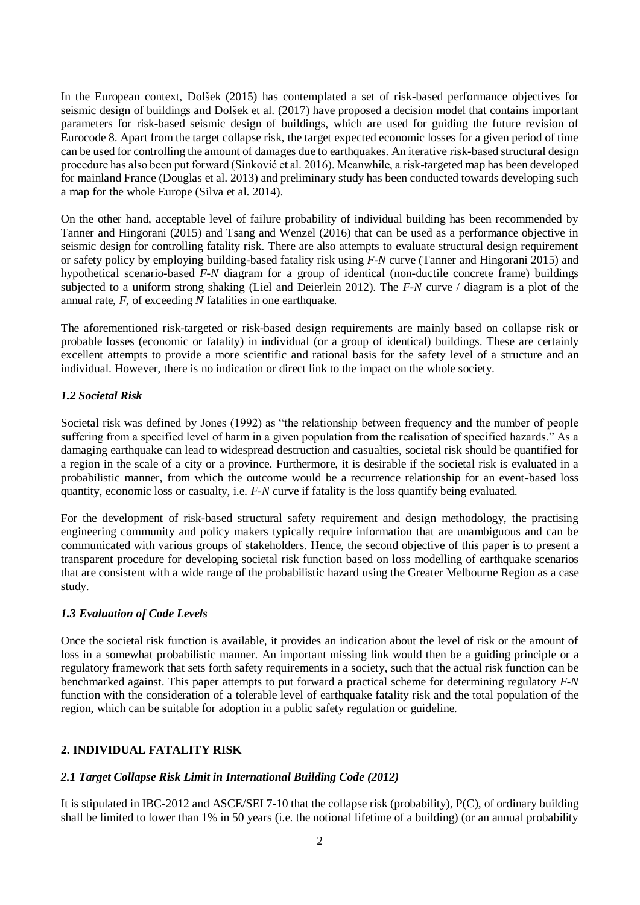In the European context, Dolšek (2015) has contemplated a set of risk-based performance objectives for seismic design of buildings and Dolšek et al. (2017) have proposed a decision model that contains important parameters for risk-based seismic design of buildings, which are used for guiding the future revision of Eurocode 8. Apart from the target collapse risk, the target expected economic losses for a given period of time can be used for controlling the amount of damages due to earthquakes. An iterative risk-based structural design procedure has also been put forward (Sinković et al. 2016). Meanwhile, a risk-targeted map has been developed for mainland France (Douglas et al. 2013) and preliminary study has been conducted towards developing such a map for the whole Europe (Silva et al. 2014).

On the other hand, acceptable level of failure probability of individual building has been recommended by Tanner and Hingorani (2015) and Tsang and Wenzel (2016) that can be used as a performance objective in seismic design for controlling fatality risk. There are also attempts to evaluate structural design requirement or safety policy by employing building-based fatality risk using *F-N* curve (Tanner and Hingorani 2015) and hypothetical scenario-based *F-N* diagram for a group of identical (non-ductile concrete frame) buildings subjected to a uniform strong shaking (Liel and Deierlein 2012). The *F-N* curve / diagram is a plot of the annual rate, *F*, of exceeding *N* fatalities in one earthquake.

The aforementioned risk-targeted or risk-based design requirements are mainly based on collapse risk or probable losses (economic or fatality) in individual (or a group of identical) buildings. These are certainly excellent attempts to provide a more scientific and rational basis for the safety level of a structure and an individual. However, there is no indication or direct link to the impact on the whole society.

## *1.2 Societal Risk*

Societal risk was defined by Jones (1992) as "the relationship between frequency and the number of people suffering from a specified level of harm in a given population from the realisation of specified hazards." As a damaging earthquake can lead to widespread destruction and casualties, societal risk should be quantified for a region in the scale of a city or a province. Furthermore, it is desirable if the societal risk is evaluated in a probabilistic manner, from which the outcome would be a recurrence relationship for an event-based loss quantity, economic loss or casualty, i.e. *F-N* curve if fatality is the loss quantify being evaluated.

For the development of risk-based structural safety requirement and design methodology, the practising engineering community and policy makers typically require information that are unambiguous and can be communicated with various groups of stakeholders. Hence, the second objective of this paper is to present a transparent procedure for developing societal risk function based on loss modelling of earthquake scenarios that are consistent with a wide range of the probabilistic hazard using the Greater Melbourne Region as a case study.

## *1.3 Evaluation of Code Levels*

Once the societal risk function is available, it provides an indication about the level of risk or the amount of loss in a somewhat probabilistic manner. An important missing link would then be a guiding principle or a regulatory framework that sets forth safety requirements in a society, such that the actual risk function can be benchmarked against. This paper attempts to put forward a practical scheme for determining regulatory *F-N* function with the consideration of a tolerable level of earthquake fatality risk and the total population of the region, which can be suitable for adoption in a public safety regulation or guideline.

# **2. INDIVIDUAL FATALITY RISK**

# *2.1 Target Collapse Risk Limit in International Building Code (2012)*

It is stipulated in IBC-2012 and ASCE/SEI 7-10 that the collapse risk (probability), P(C), of ordinary building shall be limited to lower than 1% in 50 years (i.e. the notional lifetime of a building) (or an annual probability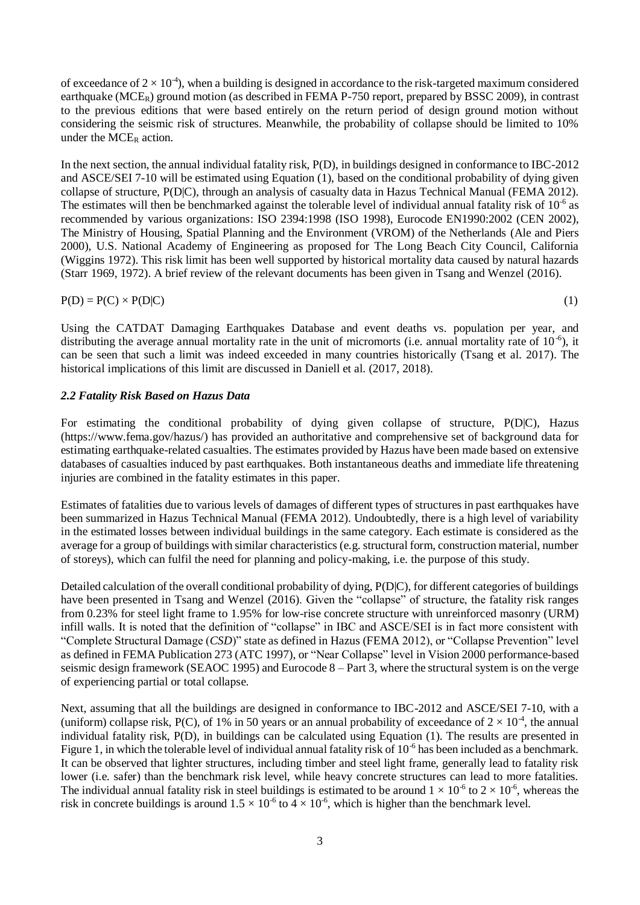of exceedance of  $2 \times 10^{-4}$ ), when a building is designed in accordance to the risk-targeted maximum considered earthquake (MCE<sub>R</sub>) ground motion (as described in FEMA P-750 report, prepared by BSSC 2009), in contrast to the previous editions that were based entirely on the return period of design ground motion without considering the seismic risk of structures. Meanwhile, the probability of collapse should be limited to 10% under the MCE<sub>R</sub> action.

In the next section, the annual individual fatality risk,  $P(D)$ , in buildings designed in conformance to IBC-2012 and ASCE/SEI 7-10 will be estimated using Equation (1), based on the conditional probability of dying given collapse of structure, P(D|C), through an analysis of casualty data in Hazus Technical Manual (FEMA 2012). The estimates will then be benchmarked against the tolerable level of individual annual fatality risk of  $10^{-6}$  as recommended by various organizations: ISO 2394:1998 (ISO 1998), Eurocode EN1990:2002 (CEN 2002), The Ministry of Housing, Spatial Planning and the Environment (VROM) of the Netherlands (Ale and Piers 2000), U.S. National Academy of Engineering as proposed for The Long Beach City Council, California (Wiggins 1972). This risk limit has been well supported by historical mortality data caused by natural hazards (Starr 1969, 1972). A brief review of the relevant documents has been given in Tsang and Wenzel (2016).

$$
P(D) = P(C) \times P(D|C)
$$
 (1)

Using the CATDAT Damaging Earthquakes Database and event deaths vs. population per year, and distributing the average annual mortality rate in the unit of micromorts (i.e. annual mortality rate of  $10^{-6}$ ), it can be seen that such a limit was indeed exceeded in many countries historically (Tsang et al. 2017). The historical implications of this limit are discussed in Daniell et al. (2017, 2018).

# *2.2 Fatality Risk Based on Hazus Data*

For estimating the conditional probability of dying given collapse of structure, P(D|C), Hazus [\(https://www.fema.gov/hazus/\)](https://www.fema.gov/hazus/) has provided an authoritative and comprehensive set of background data for estimating earthquake-related casualties. The estimates provided by Hazus have been made based on extensive databases of casualties induced by past earthquakes. Both instantaneous deaths and immediate life threatening injuries are combined in the fatality estimates in this paper.

Estimates of fatalities due to various levels of damages of different types of structures in past earthquakes have been summarized in Hazus Technical Manual (FEMA 2012). Undoubtedly, there is a high level of variability in the estimated losses between individual buildings in the same category. Each estimate is considered as the average for a group of buildings with similar characteristics (e.g. structural form, construction material, number of storeys), which can fulfil the need for planning and policy-making, i.e. the purpose of this study.

Detailed calculation of the overall conditional probability of dying, P(D|C), for different categories of buildings have been presented in Tsang and Wenzel (2016). Given the "collapse" of structure, the fatality risk ranges from 0.23% for steel light frame to 1.95% for low-rise concrete structure with unreinforced masonry (URM) infill walls. It is noted that the definition of "collapse" in IBC and ASCE/SEI is in fact more consistent with "Complete Structural Damage (*CSD*)" state as defined in Hazus (FEMA 2012), or "Collapse Prevention" level as defined in FEMA Publication 273 (ATC 1997), or "Near Collapse" level in Vision 2000 performance-based seismic design framework (SEAOC 1995) and Eurocode 8 – Part 3, where the structural system is on the verge of experiencing partial or total collapse.

Next, assuming that all the buildings are designed in conformance to IBC-2012 and ASCE/SEI 7-10, with a (uniform) collapse risk, P(C), of 1% in 50 years or an annual probability of exceedance of  $2 \times 10^{-4}$ , the annual individual fatality risk, P(D), in buildings can be calculated using Equation (1). The results are presented in Figure 1, in which the tolerable level of individual annual fatality risk of  $10^{-6}$  has been included as a benchmark. It can be observed that lighter structures, including timber and steel light frame, generally lead to fatality risk lower (i.e. safer) than the benchmark risk level, while heavy concrete structures can lead to more fatalities. The individual annual fatality risk in steel buildings is estimated to be around  $1 \times 10^{-6}$  to  $2 \times 10^{-6}$ , whereas the risk in concrete buildings is around  $1.5 \times 10^{-6}$  to  $4 \times 10^{-6}$ , which is higher than the benchmark level.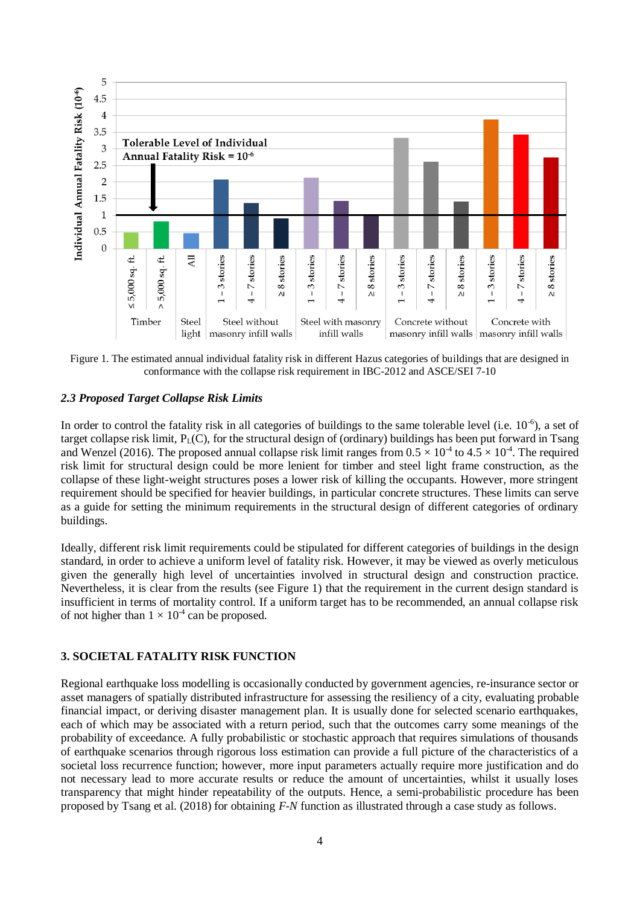

Figure 1. The estimated annual individual fatality risk in different Hazus categories of buildings that are designed in conformance with the collapse risk requirement in IBC-2012 and ASCE/SEI 7-10

#### *2.3 Proposed Target Collapse Risk Limits*

In order to control the fatality risk in all categories of buildings to the same tolerable level (i.e.  $10^{-6}$ ), a set of target collapse risk limit,  $P_L(C)$ , for the structural design of (ordinary) buildings has been put forward in Tsang and Wenzel (2016). The proposed annual collapse risk limit ranges from  $0.5 \times 10^{-4}$  to  $4.5 \times 10^{-4}$ . The required risk limit for structural design could be more lenient for timber and steel light frame construction, as the collapse of these light-weight structures poses a lower risk of killing the occupants. However, more stringent requirement should be specified for heavier buildings, in particular concrete structures. These limits can serve as a guide for setting the minimum requirements in the structural design of different categories of ordinary buildings.

Ideally, different risk limit requirements could be stipulated for different categories of buildings in the design standard, in order to achieve a uniform level of fatality risk. However, it may be viewed as overly meticulous given the generally high level of uncertainties involved in structural design and construction practice. Nevertheless, it is clear from the results (see Figure 1) that the requirement in the current design standard is insufficient in terms of mortality control. If a uniform target has to be recommended, an annual collapse risk of not higher than  $1 \times 10^{-4}$  can be proposed.

## **3. SOCIETAL FATALITY RISK FUNCTION**

Regional earthquake loss modelling is occasionally conducted by government agencies, re-insurance sector or asset managers of spatially distributed infrastructure for assessing the resiliency of a city, evaluating probable financial impact, or deriving disaster management plan. It is usually done for selected scenario earthquakes, each of which may be associated with a return period, such that the outcomes carry some meanings of the probability of exceedance. A fully probabilistic or stochastic approach that requires simulations of thousands of earthquake scenarios through rigorous loss estimation can provide a full picture of the characteristics of a societal loss recurrence function; however, more input parameters actually require more justification and do not necessary lead to more accurate results or reduce the amount of uncertainties, whilst it usually loses transparency that might hinder repeatability of the outputs. Hence, a semi-probabilistic procedure has been proposed by Tsang et al. (2018) for obtaining *F-N* function as illustrated through a case study as follows.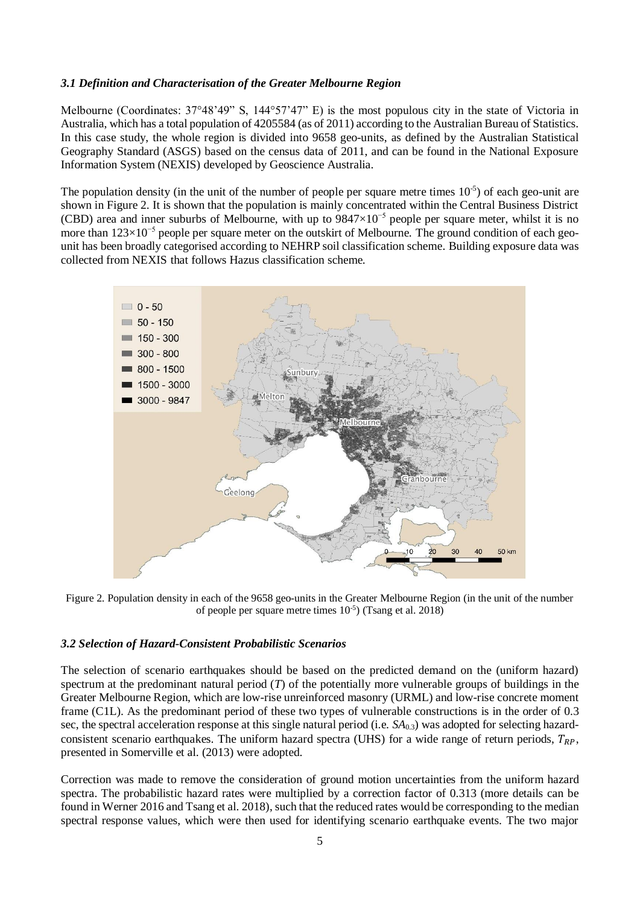#### *3.1 Definition and Characterisation of the Greater Melbourne Region*

Melbourne (Coordinates: 37°48'49" S, 144°57'47" E) is the most populous city in the state of Victoria in Australia, which has a total population of 4205584 (as of 2011) according to the Australian Bureau of Statistics. In this case study, the whole region is divided into 9658 geo-units, as defined by the Australian Statistical Geography Standard (ASGS) based on the census data of 2011, and can be found in the National Exposure Information System (NEXIS) developed by Geoscience Australia.

The population density (in the unit of the number of people per square metre times  $10^{-5}$ ) of each geo-unit are shown in Figure 2. It is shown that the population is mainly concentrated within the Central Business District (CBD) area and inner suburbs of Melbourne, with up to  $9847\times10^{-5}$  people per square meter, whilst it is no more than 123×10<sup>-5</sup> people per square meter on the outskirt of Melbourne. The ground condition of each geounit has been broadly categorised according to NEHRP soil classification scheme. Building exposure data was collected from NEXIS that follows Hazus classification scheme.



Figure 2. Population density in each of the 9658 geo-units in the Greater Melbourne Region (in the unit of the number of people per square metre times 10-5 ) (Tsang et al. 2018)

#### *3.2 Selection of Hazard-Consistent Probabilistic Scenarios*

The selection of scenario earthquakes should be based on the predicted demand on the (uniform hazard) spectrum at the predominant natural period (*T*) of the potentially more vulnerable groups of buildings in the Greater Melbourne Region, which are low-rise unreinforced masonry (URML) and low-rise concrete moment frame (C1L). As the predominant period of these two types of vulnerable constructions is in the order of 0.3 sec, the spectral acceleration response at this single natural period (i.e. *SA*0.3) was adopted for selecting hazardconsistent scenario earthquakes. The uniform hazard spectra (UHS) for a wide range of return periods,  $T_{BP}$ , presented in Somerville et al. (2013) were adopted.

Correction was made to remove the consideration of ground motion uncertainties from the uniform hazard spectra. The probabilistic hazard rates were multiplied by a correction factor of 0.313 (more details can be found in Werner 2016 and Tsang et al. 2018), such that the reduced rates would be corresponding to the median spectral response values, which were then used for identifying scenario earthquake events. The two major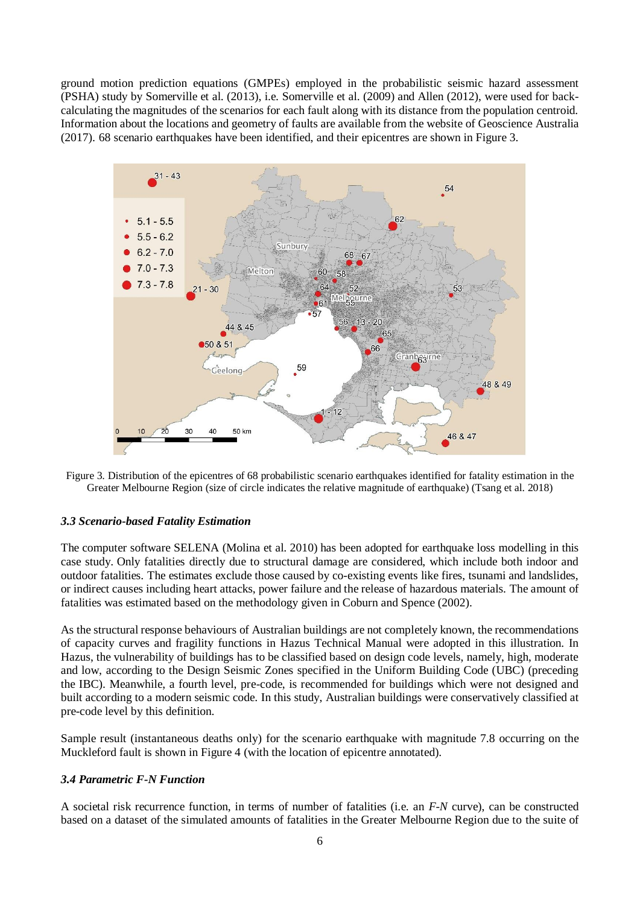ground motion prediction equations (GMPEs) employed in the probabilistic seismic hazard assessment (PSHA) study by Somerville et al. (2013), i.e. Somerville et al. (2009) and Allen (2012), were used for backcalculating the magnitudes of the scenarios for each fault along with its distance from the population centroid. Information about the locations and geometry of faults are available from the website of Geoscience Australia (2017). 68 scenario earthquakes have been identified, and their epicentres are shown in Figure 3.



Figure 3. Distribution of the epicentres of 68 probabilistic scenario earthquakes identified for fatality estimation in the Greater Melbourne Region (size of circle indicates the relative magnitude of earthquake) (Tsang et al. 2018)

## *3.3 Scenario-based Fatality Estimation*

The computer software SELENA (Molina et al. 2010) has been adopted for earthquake loss modelling in this case study. Only fatalities directly due to structural damage are considered, which include both indoor and outdoor fatalities. The estimates exclude those caused by co-existing events like fires, tsunami and landslides, or indirect causes including heart attacks, power failure and the release of hazardous materials. The amount of fatalities was estimated based on the methodology given in Coburn and Spence (2002).

As the structural response behaviours of Australian buildings are not completely known, the recommendations of capacity curves and fragility functions in Hazus Technical Manual were adopted in this illustration. In Hazus, the vulnerability of buildings has to be classified based on design code levels, namely, high, moderate and low, according to the Design Seismic Zones specified in the Uniform Building Code (UBC) (preceding the IBC). Meanwhile, a fourth level, pre-code, is recommended for buildings which were not designed and built according to a modern seismic code. In this study, Australian buildings were conservatively classified at pre-code level by this definition.

Sample result (instantaneous deaths only) for the scenario earthquake with magnitude 7.8 occurring on the Muckleford fault is shown in Figure 4 (with the location of epicentre annotated).

#### *3.4 Parametric F-N Function*

A societal risk recurrence function, in terms of number of fatalities (i.e. an *F-N* curve), can be constructed based on a dataset of the simulated amounts of fatalities in the Greater Melbourne Region due to the suite of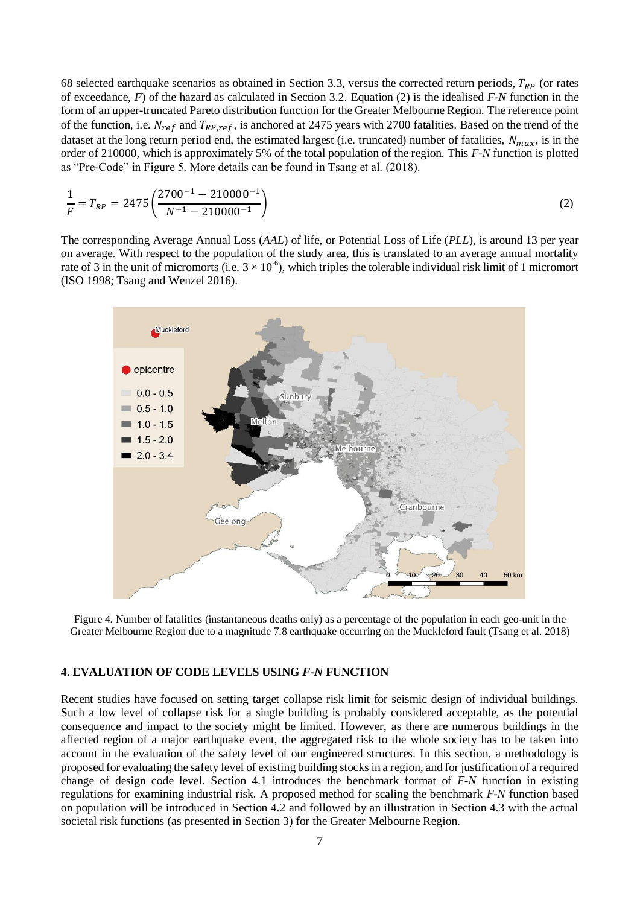68 selected earthquake scenarios as obtained in Section 3.3, versus the corrected return periods,  $T_{RP}$  (or rates of exceedance, *F*) of the hazard as calculated in Section 3.2. Equation (2) is the idealised *F-N* function in the form of an upper-truncated Pareto distribution function for the Greater Melbourne Region. The reference point of the function, i.e.  $N_{ref}$  and  $T_{RP,ref}$ , is anchored at 2475 years with 2700 fatalities. Based on the trend of the dataset at the long return period end, the estimated largest (i.e. truncated) number of fatalities,  $N_{max}$ , is in the order of 210000, which is approximately 5% of the total population of the region. This *F-N* function is plotted as "Pre-Code" in Figure 5. More details can be found in Tsang et al. (2018).

$$
\frac{1}{F} = T_{RP} = 2475 \left( \frac{2700^{-1} - 210000^{-1}}{N^{-1} - 210000^{-1}} \right)
$$
\n(2)

The corresponding Average Annual Loss (*AAL*) of life, or Potential Loss of Life (*PLL*), is around 13 per year on average. With respect to the population of the study area, this is translated to an average annual mortality rate of 3 in the unit of micromorts (i.e.  $3 \times 10^{-6}$ ), which triples the tolerable individual risk limit of 1 micromort (ISO 1998; Tsang and Wenzel 2016).



Figure 4. Number of fatalities (instantaneous deaths only) as a percentage of the population in each geo-unit in the Greater Melbourne Region due to a magnitude 7.8 earthquake occurring on the Muckleford fault (Tsang et al. 2018)

#### **4. EVALUATION OF CODE LEVELS USING** *F-N* **FUNCTION**

Recent studies have focused on setting target collapse risk limit for seismic design of individual buildings. Such a low level of collapse risk for a single building is probably considered acceptable, as the potential consequence and impact to the society might be limited. However, as there are numerous buildings in the affected region of a major earthquake event, the aggregated risk to the whole society has to be taken into account in the evaluation of the safety level of our engineered structures. In this section, a methodology is proposed for evaluating the safety level of existing building stocks in a region, and for justification of a required change of design code level. Section 4.1 introduces the benchmark format of *F-N* function in existing regulations for examining industrial risk. A proposed method for scaling the benchmark *F-N* function based on population will be introduced in Section 4.2 and followed by an illustration in Section 4.3 with the actual societal risk functions (as presented in Section 3) for the Greater Melbourne Region.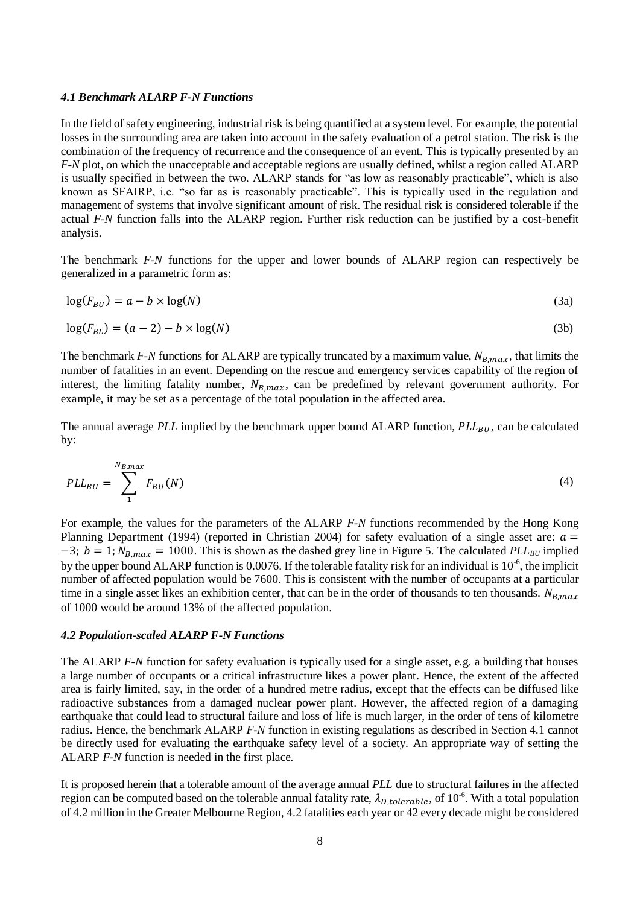#### *4.1 Benchmark ALARP F-N Functions*

In the field of safety engineering, industrial risk is being quantified at a system level. For example, the potential losses in the surrounding area are taken into account in the safety evaluation of a petrol station. The risk is the combination of the frequency of recurrence and the consequence of an event. This is typically presented by an *F-N* plot, on which the unacceptable and acceptable regions are usually defined, whilst a region called ALARP is usually specified in between the two. ALARP stands for "as low as reasonably practicable", which is also known as SFAIRP, i.e. "so far as is reasonably practicable". This is typically used in the regulation and management of systems that involve significant amount of risk. The residual risk is considered tolerable if the actual *F-N* function falls into the ALARP region. Further risk reduction can be justified by a cost-benefit analysis.

The benchmark *F-N* functions for the upper and lower bounds of ALARP region can respectively be generalized in a parametric form as:

$$
log(F_{BU}) = a - b \times log(N)
$$
\n(3a)

$$
\log(F_{BL}) = (a-2) - b \times \log(N) \tag{3b}
$$

The benchmark *F-N* functions for ALARP are typically truncated by a maximum value,  $N_{B,max}$ , that limits the number of fatalities in an event. Depending on the rescue and emergency services capability of the region of interest, the limiting fatality number,  $N_{B,max}$ , can be predefined by relevant government authority. For example, it may be set as a percentage of the total population in the affected area.

The annual average *PLL* implied by the benchmark upper bound ALARP function, *PLL<sub>BU</sub>*, can be calculated by:

$$
PLL_{BU} = \sum_{1}^{N_{B,max}} F_{BU}(N) \tag{4}
$$

For example, the values for the parameters of the ALARP *F-N* functions recommended by the Hong Kong Planning Department (1994) (reported in Christian 2004) for safety evaluation of a single asset are:  $a =$  $-3$ ;  $b = 1$ ;  $N_{B,max} = 1000$ . This is shown as the dashed grey line in Figure 5. The calculated *PLL<sub>BU</sub>* implied by the upper bound ALARP function is 0.0076. If the tolerable fatality risk for an individual is  $10^{-6}$ , the implicit number of affected population would be 7600. This is consistent with the number of occupants at a particular time in a single asset likes an exhibition center, that can be in the order of thousands to ten thousands.  $N_{B,max}$ of 1000 would be around 13% of the affected population.

#### *4.2 Population-scaled ALARP F-N Functions*

The ALARP *F-N* function for safety evaluation is typically used for a single asset, e.g. a building that houses a large number of occupants or a critical infrastructure likes a power plant. Hence, the extent of the affected area is fairly limited, say, in the order of a hundred metre radius, except that the effects can be diffused like radioactive substances from a damaged nuclear power plant. However, the affected region of a damaging earthquake that could lead to structural failure and loss of life is much larger, in the order of tens of kilometre radius. Hence, the benchmark ALARP *F-N* function in existing regulations as described in Section 4.1 cannot be directly used for evaluating the earthquake safety level of a society. An appropriate way of setting the ALARP *F-N* function is needed in the first place.

It is proposed herein that a tolerable amount of the average annual *PLL* due to structural failures in the affected region can be computed based on the tolerable annual fatality rate,  $\lambda_{D, tolerable}$ , of  $10^{-6}$ . With a total population of 4.2 million in the Greater Melbourne Region, 4.2 fatalities each year or 42 every decade might be considered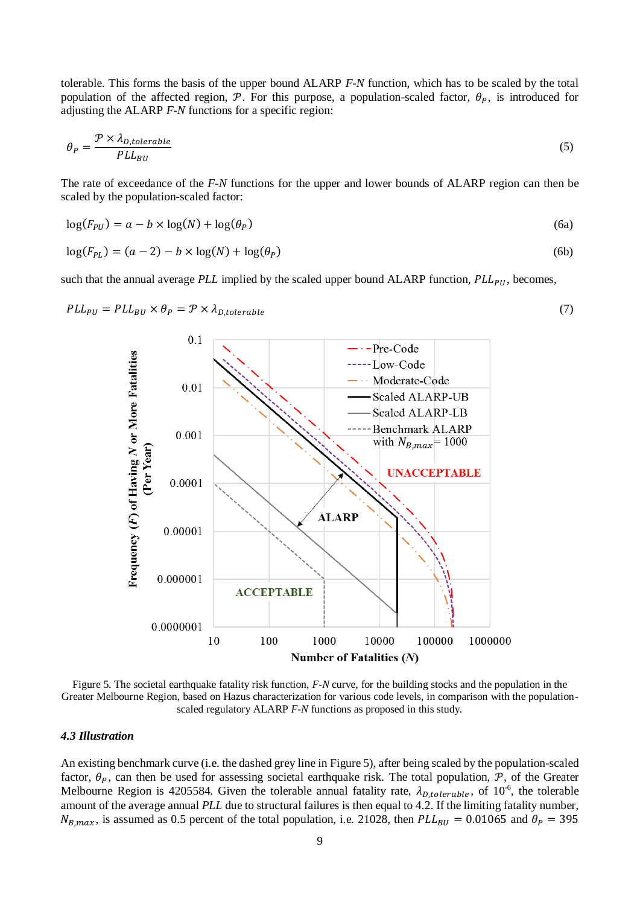tolerable. This forms the basis of the upper bound ALARP *F-N* function, which has to be scaled by the total population of the affected region,  $P$ . For this purpose, a population-scaled factor,  $\theta_P$ , is introduced for adjusting the ALARP *F-N* functions for a specific region:

$$
\theta_P = \frac{\mathcal{P} \times \lambda_{D, tolerable}}{PL_{BU}} \tag{5}
$$

The rate of exceedance of the *F-N* functions for the upper and lower bounds of ALARP region can then be scaled by the population-scaled factor:

$$
log(F_{PU}) = a - b \times log(N) + log(\theta_P)
$$
\n(6a)

$$
log(F_{PL}) = (a-2) - b \times log(N) + log(\theta_P)
$$
\n(6b)

such that the annual average  $PLL$  implied by the scaled upper bound  $ALARP$  function,  $PLL_{PI}$ , becomes,



Figure 5. The societal earthquake fatality risk function, *F-N* curve, for the building stocks and the population in the Greater Melbourne Region, based on Hazus characterization for various code levels, in comparison with the populationscaled regulatory ALARP *F-N* functions as proposed in this study.

#### *4.3 Illustration*

An existing benchmark curve (i.e. the dashed grey line in Figure 5), after being scaled by the population-scaled factor,  $\theta_p$ , can then be used for assessing societal earthquake risk. The total population,  $\mathcal{P}$ , of the Greater Melbourne Region is 4205584. Given the tolerable annual fatality rate,  $\lambda_{D, tolerable}$ , of  $10^{-6}$ , the tolerable amount of the average annual *PLL* due to structural failures is then equal to 4.2. If the limiting fatality number,  $N_{B,max}$ , is assumed as 0.5 percent of the total population, i.e. 21028, then  $PLL_{BU} = 0.01065$  and  $\theta_P = 395$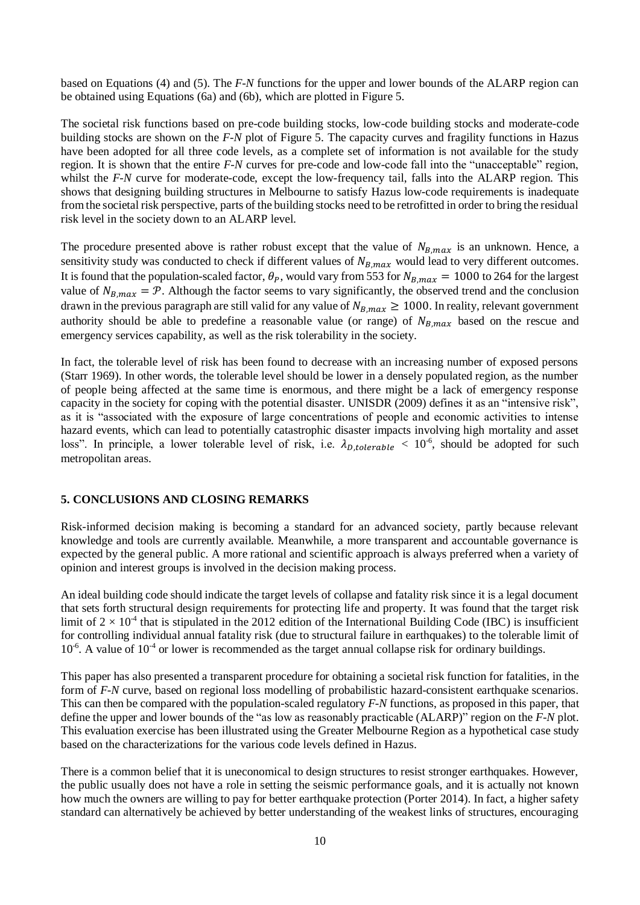based on Equations (4) and (5). The *F-N* functions for the upper and lower bounds of the ALARP region can be obtained using Equations (6a) and (6b), which are plotted in Figure 5.

The societal risk functions based on pre-code building stocks, low-code building stocks and moderate-code building stocks are shown on the *F-N* plot of Figure 5. The capacity curves and fragility functions in Hazus have been adopted for all three code levels, as a complete set of information is not available for the study region. It is shown that the entire *F-N* curves for pre-code and low-code fall into the "unacceptable" region, whilst the *F-N* curve for moderate-code, except the low-frequency tail, falls into the ALARP region. This shows that designing building structures in Melbourne to satisfy Hazus low-code requirements is inadequate from the societal risk perspective, parts of the building stocks need to be retrofitted in order to bring the residual risk level in the society down to an ALARP level.

The procedure presented above is rather robust except that the value of  $N_{B,max}$  is an unknown. Hence, a sensitivity study was conducted to check if different values of  $N_{B,max}$  would lead to very different outcomes. It is found that the population-scaled factor,  $\theta_P$ , would vary from 553 for  $N_{B,max} = 1000$  to 264 for the largest value of  $N_{B,max} = \mathcal{P}$ . Although the factor seems to vary significantly, the observed trend and the conclusion drawn in the previous paragraph are still valid for any value of  $N_{B,max} \ge 1000$ . In reality, relevant government authority should be able to predefine a reasonable value (or range) of  $N_{B,max}$  based on the rescue and emergency services capability, as well as the risk tolerability in the society.

In fact, the tolerable level of risk has been found to decrease with an increasing number of exposed persons (Starr 1969). In other words, the tolerable level should be lower in a densely populated region, as the number of people being affected at the same time is enormous, and there might be a lack of emergency response capacity in the society for coping with the potential disaster. UNISDR (2009) defines it as an "intensive risk", as it is "associated with the exposure of large concentrations of people and economic activities to intense hazard events, which can lead to potentially catastrophic disaster impacts involving high mortality and asset loss". In principle, a lower tolerable level of risk, i.e.  $\lambda_{D, tolerable} < 10^{-6}$ , should be adopted for such metropolitan areas.

## **5. CONCLUSIONS AND CLOSING REMARKS**

Risk-informed decision making is becoming a standard for an advanced society, partly because relevant knowledge and tools are currently available. Meanwhile, a more transparent and accountable governance is expected by the general public. A more rational and scientific approach is always preferred when a variety of opinion and interest groups is involved in the decision making process.

An ideal building code should indicate the target levels of collapse and fatality risk since it is a legal document that sets forth structural design requirements for protecting life and property. It was found that the target risk limit of  $2 \times 10^{-4}$  that is stipulated in the 2012 edition of the International Building Code (IBC) is insufficient for controlling individual annual fatality risk (due to structural failure in earthquakes) to the tolerable limit of  $10^{-6}$ . A value of  $10^{-4}$  or lower is recommended as the target annual collapse risk for ordinary buildings.

This paper has also presented a transparent procedure for obtaining a societal risk function for fatalities, in the form of *F-N* curve, based on regional loss modelling of probabilistic hazard-consistent earthquake scenarios. This can then be compared with the population-scaled regulatory *F-N* functions, as proposed in this paper, that define the upper and lower bounds of the "as low as reasonably practicable (ALARP)" region on the *F-N* plot. This evaluation exercise has been illustrated using the Greater Melbourne Region as a hypothetical case study based on the characterizations for the various code levels defined in Hazus.

There is a common belief that it is uneconomical to design structures to resist stronger earthquakes. However, the public usually does not have a role in setting the seismic performance goals, and it is actually not known how much the owners are willing to pay for better earthquake protection (Porter 2014). In fact, a higher safety standard can alternatively be achieved by better understanding of the weakest links of structures, encouraging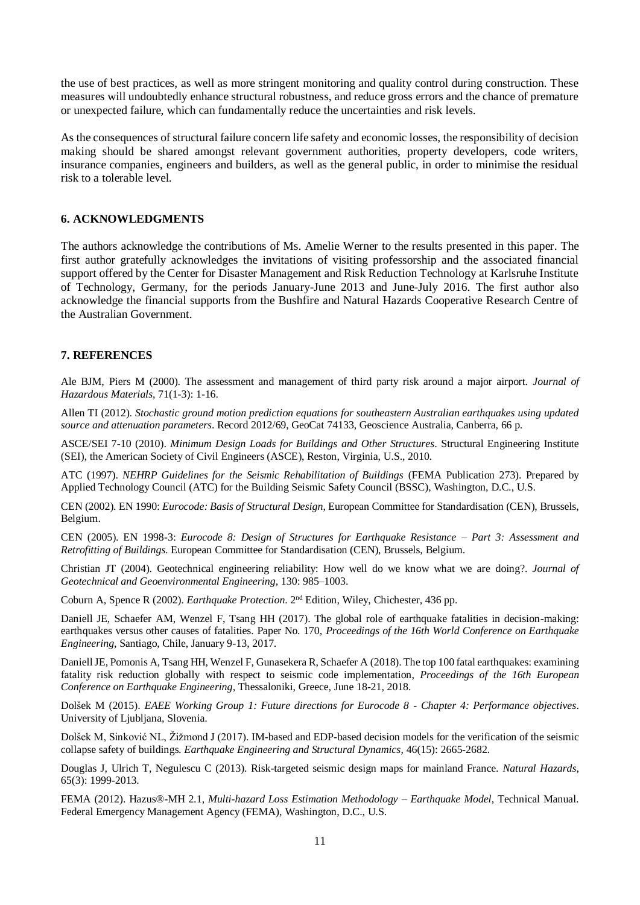the use of best practices, as well as more stringent monitoring and quality control during construction. These measures will undoubtedly enhance structural robustness, and reduce gross errors and the chance of premature or unexpected failure, which can fundamentally reduce the uncertainties and risk levels.

As the consequences of structural failure concern life safety and economic losses, the responsibility of decision making should be shared amongst relevant government authorities, property developers, code writers, insurance companies, engineers and builders, as well as the general public, in order to minimise the residual risk to a tolerable level.

## **6. ACKNOWLEDGMENTS**

The authors acknowledge the contributions of Ms. Amelie Werner to the results presented in this paper. The first author gratefully acknowledges the invitations of visiting professorship and the associated financial support offered by the Center for Disaster Management and Risk Reduction Technology at Karlsruhe Institute of Technology, Germany, for the periods January-June 2013 and June-July 2016. The first author also acknowledge the financial supports from the Bushfire and Natural Hazards Cooperative Research Centre of the Australian Government.

## **7. REFERENCES**

Ale BJM, Piers M (2000). The assessment and management of third party risk around a major airport. *Journal of Hazardous Materials*, 71(1-3): 1-16.

Allen TI (2012). *Stochastic ground motion prediction equations for southeastern Australian earthquakes using updated source and attenuation parameters*. Record 2012/69, GeoCat 74133, Geoscience Australia, Canberra, 66 p.

ASCE/SEI 7-10 (2010). *Minimum Design Loads for Buildings and Other Structures*. Structural Engineering Institute (SEI), the American Society of Civil Engineers (ASCE), Reston, Virginia, U.S., 2010.

ATC (1997). *NEHRP Guidelines for the Seismic Rehabilitation of Buildings* (FEMA Publication 273). Prepared by Applied Technology Council (ATC) for the Building Seismic Safety Council (BSSC), Washington, D.C., U.S.

CEN (2002). EN 1990: *Eurocode: Basis of Structural Design*, European Committee for Standardisation (CEN), Brussels, Belgium.

CEN (2005). EN 1998-3: *Eurocode 8: Design of Structures for Earthquake Resistance – Part 3: Assessment and Retrofitting of Buildings*. European Committee for Standardisation (CEN), Brussels, Belgium.

Christian JT (2004). Geotechnical engineering reliability: How well do we know what we are doing?. *Journal of Geotechnical and Geoenvironmental Engineering*, 130: 985–1003.

Coburn A, Spence R (2002). *Earthquake Protection*. 2<sup>nd</sup> Edition, Wiley, Chichester, 436 pp.

Daniell JE, Schaefer AM, Wenzel F, Tsang HH (2017). The global role of earthquake fatalities in decision-making: earthquakes versus other causes of fatalities. Paper No. 170, *Proceedings of the 16th World Conference on Earthquake Engineering*, Santiago, Chile, January 9-13, 2017.

Daniell JE, Pomonis A, Tsang HH, Wenzel F, Gunasekera R, Schaefer A (2018). The top 100 fatal earthquakes: examining fatality risk reduction globally with respect to seismic code implementation, *Proceedings of the 16th European Conference on Earthquake Engineering*, Thessaloniki, Greece, June 18-21, 2018.

Dolšek M (2015). *EAEE Working Group 1: Future directions for Eurocode 8 - Chapter 4: Performance objectives*. University of Ljubljana, Slovenia.

Dolšek M, Sinković NL, Žižmond J (2017). IM-based and EDP-based decision models for the verification of the seismic collapse safety of buildings. *Earthquake Engineering and Structural Dynamics*, 46(15): 2665-2682.

Douglas J, Ulrich T, Negulescu C (2013). Risk-targeted seismic design maps for mainland France. *Natural Hazards*, 65(3): 1999-2013.

FEMA (2012). Hazus®-MH 2.1, *Multi-hazard Loss Estimation Methodology – Earthquake Model*, Technical Manual. Federal Emergency Management Agency (FEMA), Washington, D.C., U.S.